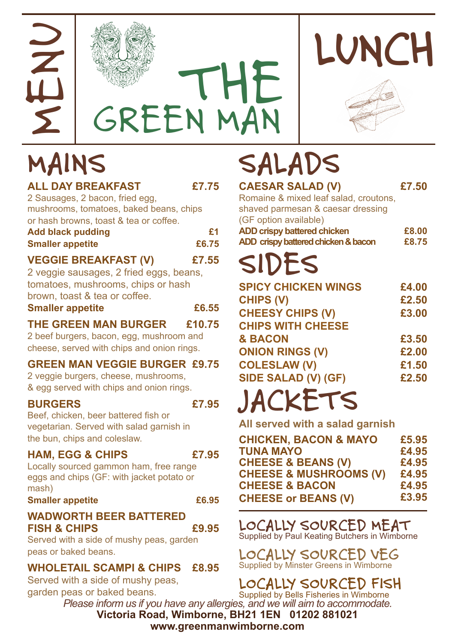





| <b>ALL DAY BREAKFAST</b><br>2 Sausages, 2 bacon, fried egg,                                                                                   | £7.75       |
|-----------------------------------------------------------------------------------------------------------------------------------------------|-------------|
| mushrooms, tomatoes, baked beans, chips<br>or hash browns, toast & tea or coffee.<br><b>Add black pudding</b><br><b>Smaller appetite</b>      | £1<br>£6.75 |
| <b>VEGGIE BREAKFAST (V)</b><br>2 veggie sausages, 2 fried eggs, beans,<br>tomatoes, mushrooms, chips or hash<br>brown, toast & tea or coffee. | £7.55       |
| <b>Smaller appetite</b>                                                                                                                       | £6.55       |
| <b>THE GREEN MAN BURGER</b><br>2 beef burgers, bacon, egg, mushroom and<br>cheese, served with chips and onion rings.                         | £10.75      |
| <b>GREEN MAN VEGGIE BURGER £9.75</b><br>2 veggie burgers, cheese, mushrooms,<br>& egg served with chips and onion rings.                      |             |
| <b>BURGERS</b><br>Beef, chicken, beer battered fish or<br>vegetarian. Served with salad garnish in<br>the bun, chips and coleslaw.            | £7.95       |
| <b>HAM, EGG &amp; CHIPS</b><br>Locally sourced gammon ham, free range<br>eggs and chips (GF: with jacket potato or<br>mash)                   | £7.95       |
| <b>Smaller appetite</b>                                                                                                                       | £6.95       |
| <b>WADWORTH BEER BATTERED</b><br><b>FISH &amp; CHIPS</b><br>Served with a side of mushy peas, garden<br>peas or baked beans.                  | £9.95       |

**WHOLETAIL SCAMPI & CHIPS £8.95**

Served with a side of mushy peas, garden peas or baked beans.

# **MAINS SALADS**

| <b>CAESAR SALAD (V)</b>               | £7.50 |
|---------------------------------------|-------|
| Romaine & mixed leaf salad, croutons, |       |
| shaved parmesan & caesar dressing     |       |
| (GF option available)                 |       |
| <b>ADD crispy battered chicken</b>    | £8.00 |
| ADD crispy battered chicken & bacon   | £8.75 |
| CIDEC                                 |       |

## **SIDES**

| <b>SPICY CHICKEN WINGS</b> | £4.00 |
|----------------------------|-------|
| <b>CHIPS (V)</b>           | £2.50 |
| <b>CHEESY CHIPS (V)</b>    | £3.00 |
| <b>CHIPS WITH CHEESE</b>   |       |
| <b>&amp; BACON</b>         | £3.50 |
| <b>ONION RINGS (V)</b>     | £2.00 |
| <b>COLESLAW (V)</b>        | £1.50 |
| SIDE SALAD (V) (GF)        | £2.50 |

## **JACKETS**

**All served with a salad garnish**

| <b>CHICKEN, BACON &amp; MAYO</b>  | £5,95 |
|-----------------------------------|-------|
| <b>TUNA MAYO</b>                  | £4.95 |
| <b>CHEESE &amp; BEANS (V)</b>     | £4.95 |
| <b>CHEESE &amp; MUSHROOMS (V)</b> | £4.95 |
| <b>CHEESE &amp; BACON</b>         | £4.95 |
| <b>CHEESE or BEANS (V)</b>        | £3.95 |

**LOCALLY SOURCED MEAT** Supplied by Paul Keating Butchers in Wimborne

**LOCALLY SOURCED VEG** Supplied by Minster Greens in Wimborne

**Victoria Road, Wimborne, BH21 1EN 01202 881021 www.greenmanwimborne.com** *Please inform us if you have any allergies, and we will aim to accommodate.* **LOCALLY SOURCED FISH** Supplied by Bells Fisheries in Wimborne